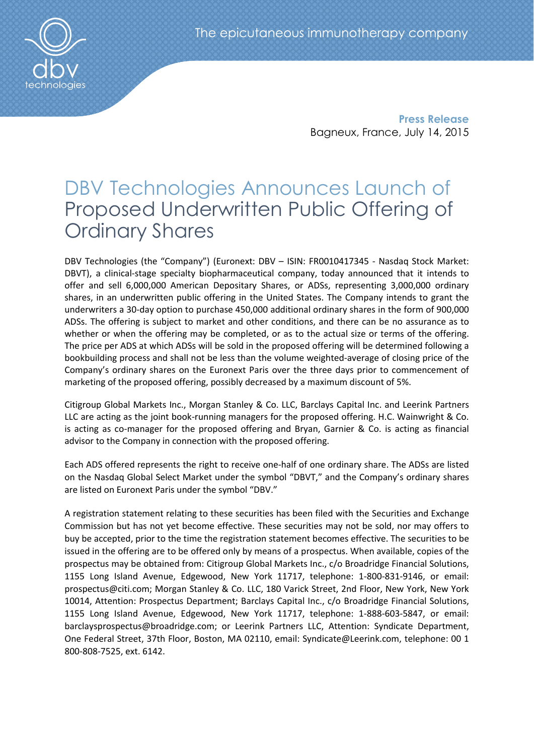

Press Release Bagneux, France, July 14, 2015

# DBV Technologies Announces Launch of Proposed Underwritten Public Offering of Ordinary Shares

DBV Technologies (the "Company") (Euronext: DBV – ISIN: FR0010417345 - Nasdaq Stock Market: DBVT), a clinical-stage specialty biopharmaceutical company, today announced that it intends to offer and sell 6,000,000 American Depositary Shares, or ADSs, representing 3,000,000 ordinary shares, in an underwritten public offering in the United States. The Company intends to grant the underwriters a 30-day option to purchase 450,000 additional ordinary shares in the form of 900,000 ADSs. The offering is subject to market and other conditions, and there can be no assurance as to whether or when the offering may be completed, or as to the actual size or terms of the offering. The price per ADS at which ADSs will be sold in the proposed offering will be determined following a bookbuilding process and shall not be less than the volume weighted-average of closing price of the Company's ordinary shares on the Euronext Paris over the three days prior to commencement of marketing of the proposed offering, possibly decreased by a maximum discount of 5%.

Citigroup Global Markets Inc., Morgan Stanley & Co. LLC, Barclays Capital Inc. and Leerink Partners LLC are acting as the joint book-running managers for the proposed offering. H.C. Wainwright & Co. is acting as co-manager for the proposed offering and Bryan, Garnier & Co. is acting as financial advisor to the Company in connection with the proposed offering.

Each ADS offered represents the right to receive one-half of one ordinary share. The ADSs are listed on the Nasdaq Global Select Market under the symbol "DBVT," and the Company's ordinary shares are listed on Euronext Paris under the symbol "DBV."

A registration statement relating to these securities has been filed with the Securities and Exchange Commission but has not yet become effective. These securities may not be sold, nor may offers to buy be accepted, prior to the time the registration statement becomes effective. The securities to be issued in the offering are to be offered only by means of a prospectus. When available, copies of the prospectus may be obtained from: Citigroup Global Markets Inc., c/o Broadridge Financial Solutions, 1155 Long Island Avenue, Edgewood, New York 11717, telephone: 1-800-831-9146, or email: prospectus@citi.com; Morgan Stanley & Co. LLC, 180 Varick Street, 2nd Floor, New York, New York 10014, Attention: Prospectus Department; Barclays Capital Inc., c/o Broadridge Financial Solutions, 1155 Long Island Avenue, Edgewood, New York 11717, telephone: 1-888-603-5847, or email: barclaysprospectus@broadridge.com; or Leerink Partners LLC, Attention: Syndicate Department, One Federal Street, 37th Floor, Boston, MA 02110, email: Syndicate@Leerink.com, telephone: 00 1 800-808-7525, ext. 6142.